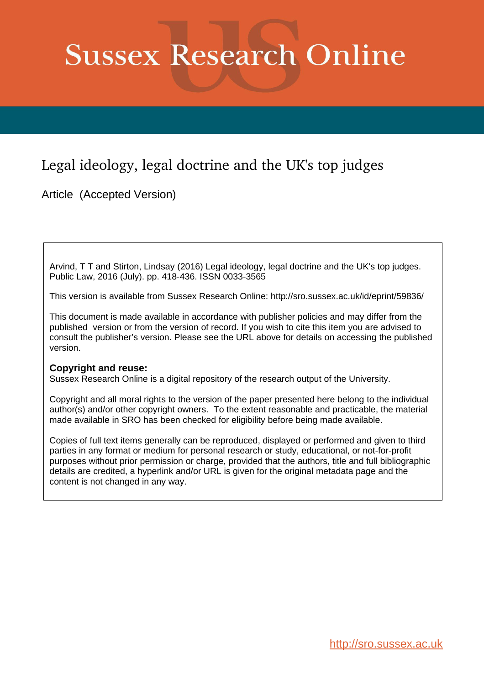# **Sussex Research Online**

## Legal ideology, legal doctrine and the UK's top judges

Article (Accepted Version)

Arvind, T T and Stirton, Lindsay (2016) Legal ideology, legal doctrine and the UK's top judges. Public Law, 2016 (July). pp. 418-436. ISSN 0033-3565

This version is available from Sussex Research Online: http://sro.sussex.ac.uk/id/eprint/59836/

This document is made available in accordance with publisher policies and may differ from the published version or from the version of record. If you wish to cite this item you are advised to consult the publisher's version. Please see the URL above for details on accessing the published version.

### **Copyright and reuse:**

Sussex Research Online is a digital repository of the research output of the University.

Copyright and all moral rights to the version of the paper presented here belong to the individual author(s) and/or other copyright owners. To the extent reasonable and practicable, the material made available in SRO has been checked for eligibility before being made available.

Copies of full text items generally can be reproduced, displayed or performed and given to third parties in any format or medium for personal research or study, educational, or not-for-profit purposes without prior permission or charge, provided that the authors, title and full bibliographic details are credited, a hyperlink and/or URL is given for the original metadata page and the content is not changed in any way.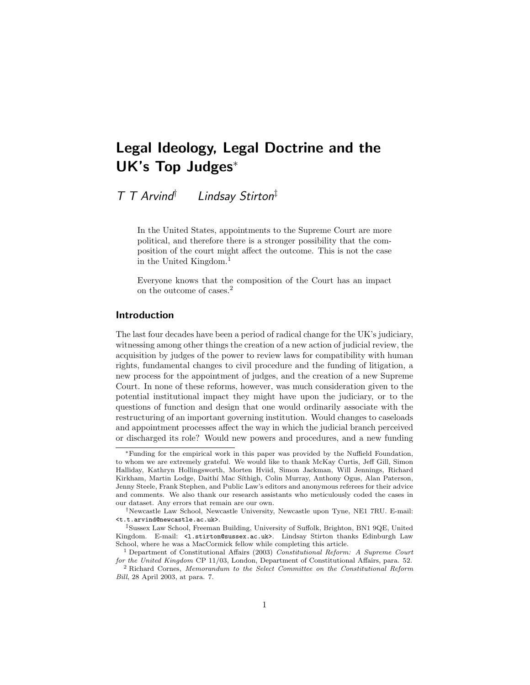## Legal Ideology, Legal Doctrine and the UK's Top Judges<sup>∗</sup>

T T Arvind† Lindsay Stirton‡

In the United States, appointments to the Supreme Court are more political, and therefore there is a stronger possibility that the composition of the court might affect the outcome. This is not the case in the United Kingdom.<sup>1</sup>

Everyone knows that the composition of the Court has an impact on the outcome of cases.<sup>2</sup>

#### Introduction

The last four decades have been a period of radical change for the UK's judiciary, witnessing among other things the creation of a new action of judicial review, the acquisition by judges of the power to review laws for compatibility with human rights, fundamental changes to civil procedure and the funding of litigation, a new process for the appointment of judges, and the creation of a new Supreme Court. In none of these reforms, however, was much consideration given to the potential institutional impact they might have upon the judiciary, or to the questions of function and design that one would ordinarily associate with the restructuring of an important governing institution. Would changes to caseloads and appointment processes affect the way in which the judicial branch perceived or discharged its role? Would new powers and procedures, and a new funding

<sup>∗</sup>Funding for the empirical work in this paper was provided by the Nuffield Foundation, to whom we are extremely grateful. We would like to thank McKay Curtis, Jeff Gill, Simon Halliday, Kathryn Hollingsworth, Morten Hviid, Simon Jackman, Will Jennings, Richard Kirkham, Martin Lodge, Daithí Mac Síthigh, Colin Murray, Anthony Ogus, Alan Paterson, Jenny Steele, Frank Stephen, and Public Law's editors and anonymous referees for their advice and comments. We also thank our research assistants who meticulously coded the cases in our dataset. Any errors that remain are our own.

<sup>†</sup>Newcastle Law School, Newcastle University, Newcastle upon Tyne, NE1 7RU. E-mail: <t.t.arvind@newcastle.ac.uk>.

<sup>‡</sup>Sussex Law School, Freeman Building, University of Suffolk, Brighton, BN1 9QE, United Kingdom. E-mail: <1.stirton@sussex.ac.uk>. Lindsay Stirton thanks Edinburgh Law School, where he was a MacCormick fellow while completing this article.

<sup>1</sup> Department of Constitutional Affairs (2003) Constitutional Reform: A Supreme Court for the United Kingdom CP 11/03, London, Department of Constitutional Affairs, para. 52.

<sup>2</sup> Richard Cornes, Memorandum to the Select Committee on the Constitutional Reform Bill, 28 April 2003, at para. 7.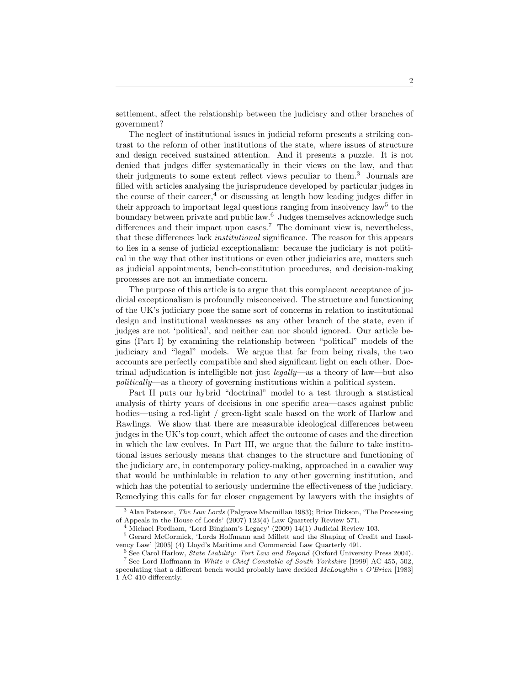settlement, affect the relationship between the judiciary and other branches of government?

The neglect of institutional issues in judicial reform presents a striking contrast to the reform of other institutions of the state, where issues of structure and design received sustained attention. And it presents a puzzle. It is not denied that judges differ systematically in their views on the law, and that their judgments to some extent reflect views peculiar to them.<sup>3</sup> Journals are filled with articles analysing the jurisprudence developed by particular judges in the course of their career,  $4$  or discussing at length how leading judges differ in their approach to important legal questions ranging from insolvency law<sup>5</sup> to the boundary between private and public law.<sup>6</sup> Judges themselves acknowledge such differences and their impact upon cases.<sup>7</sup> The dominant view is, nevertheless, that these differences lack institutional significance. The reason for this appears to lies in a sense of judicial exceptionalism: because the judiciary is not political in the way that other institutions or even other judiciaries are, matters such as judicial appointments, bench-constitution procedures, and decision-making processes are not an immediate concern.

The purpose of this article is to argue that this complacent acceptance of judicial exceptionalism is profoundly misconceived. The structure and functioning of the UK's judiciary pose the same sort of concerns in relation to institutional design and institutional weaknesses as any other branch of the state, even if judges are not 'political', and neither can nor should ignored. Our article begins (Part I) by examining the relationship between "political" models of the judiciary and "legal" models. We argue that far from being rivals, the two accounts are perfectly compatible and shed significant light on each other. Doctrinal adjudication is intelligible not just legally—as a theory of law—but also politically—as a theory of governing institutions within a political system.

Part II puts our hybrid "doctrinal" model to a test through a statistical analysis of thirty years of decisions in one specific area—cases against public bodies—using a red-light / green-light scale based on the work of Harlow and Rawlings. We show that there are measurable ideological differences between judges in the UK's top court, which affect the outcome of cases and the direction in which the law evolves. In Part III, we argue that the failure to take institutional issues seriously means that changes to the structure and functioning of the judiciary are, in contemporary policy-making, approached in a cavalier way that would be unthinkable in relation to any other governing institution, and which has the potential to seriously undermine the effectiveness of the judiciary. Remedying this calls for far closer engagement by lawyers with the insights of

<sup>3</sup> Alan Paterson, The Law Lords (Palgrave Macmillan 1983); Brice Dickson, 'The Processing of Appeals in the House of Lords' (2007) 123(4) Law Quarterly Review 571.

Michael Fordham, 'Lord Bingham's Legacy' (2009) 14(1) Judicial Review 103.

<sup>5</sup> Gerard McCormick, 'Lords Hoffmann and Millett and the Shaping of Credit and Insolvency Law' [2005] (4) Lloyd's Maritime and Commercial Law Quarterly 491.

 $6$  See Carol Harlow, *State Liability: Tort Law and Beyond* (Oxford University Press 2004). <sup>7</sup> See Lord Hoffmann in White v Chief Constable of South Yorkshire [1999] AC 455, 502, speculating that a different bench would probably have decided  $McLouchlin v O'Brien$  [1983] 1 AC 410 differently.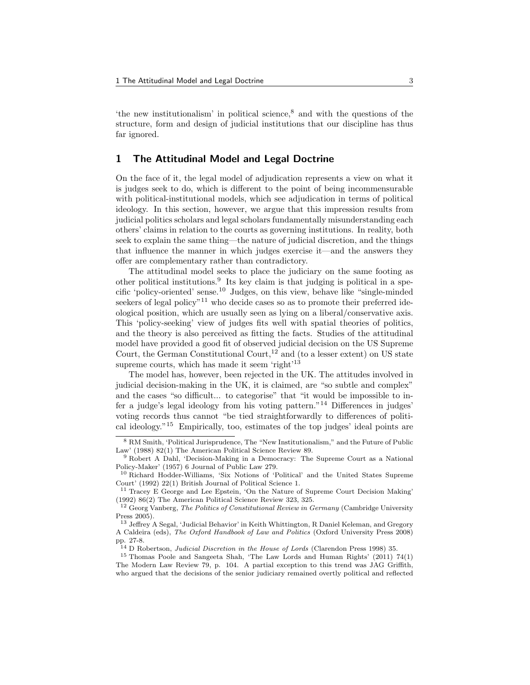'the new institutionalism' in political science,<sup>8</sup> and with the questions of the structure, form and design of judicial institutions that our discipline has thus far ignored.

#### 1 The Attitudinal Model and Legal Doctrine

On the face of it, the legal model of adjudication represents a view on what it is judges seek to do, which is different to the point of being incommensurable with political-institutional models, which see adjudication in terms of political ideology. In this section, however, we argue that this impression results from judicial politics scholars and legal scholars fundamentally misunderstanding each others' claims in relation to the courts as governing institutions. In reality, both seek to explain the same thing—the nature of judicial discretion, and the things that influence the manner in which judges exercise it—and the answers they offer are complementary rather than contradictory.

The attitudinal model seeks to place the judiciary on the same footing as other political institutions.<sup>9</sup> Its key claim is that judging is political in a specific 'policy-oriented' sense.<sup>10</sup> Judges, on this view, behave like "single-minded seekers of legal policy"<sup>11</sup> who decide cases so as to promote their preferred ideological position, which are usually seen as lying on a liberal/conservative axis. This 'policy-seeking' view of judges fits well with spatial theories of politics, and the theory is also perceived as fitting the facts. Studies of the attitudinal model have provided a good fit of observed judicial decision on the US Supreme Court, the German Constitutional Court,  $12$  and (to a lesser extent) on US state supreme courts, which has made it seem 'right'<sup>13</sup>

The model has, however, been rejected in the UK. The attitudes involved in judicial decision-making in the UK, it is claimed, are "so subtle and complex" and the cases "so difficult... to categorise" that "it would be impossible to infer a judge's legal ideology from his voting pattern."<sup>14</sup> Differences in judges' voting records thus cannot "be tied straightforwardly to differences of political ideology."<sup>15</sup> Empirically, too, estimates of the top judges' ideal points are

<sup>8</sup> RM Smith, 'Political Jurisprudence, The "New Institutionalism," and the Future of Public Law' (1988) 82(1) The American Political Science Review 89.

<sup>9</sup> Robert A Dahl, 'Decision-Making in a Democracy: The Supreme Court as a National Policy-Maker' (1957) 6 Journal of Public Law 279.

<sup>10</sup> Richard Hodder-Williams, 'Six Notions of 'Political' and the United States Supreme Court' (1992) 22(1) British Journal of Political Science 1.

<sup>11</sup> Tracey E George and Lee Epstein, 'On the Nature of Supreme Court Decision Making' (1992) 86(2) The American Political Science Review 323, 325.

 $12$  Georg Vanberg, The Politics of Constitutional Review in Germany (Cambridge University Press 2005).

<sup>13</sup> Jeffrey A Segal, 'Judicial Behavior' in Keith Whittington, R Daniel Keleman, and Gregory A Caldeira (eds), The Oxford Handbook of Law and Politics (Oxford University Press 2008) pp. 27-8.

<sup>14</sup> D Robertson, Judicial Discretion in the House of Lords (Clarendon Press 1998) 35.

<sup>15</sup> Thomas Poole and Sangeeta Shah, 'The Law Lords and Human Rights' (2011) 74(1) The Modern Law Review 79, p. 104. A partial exception to this trend was JAG Griffith, who argued that the decisions of the senior judiciary remained overtly political and reflected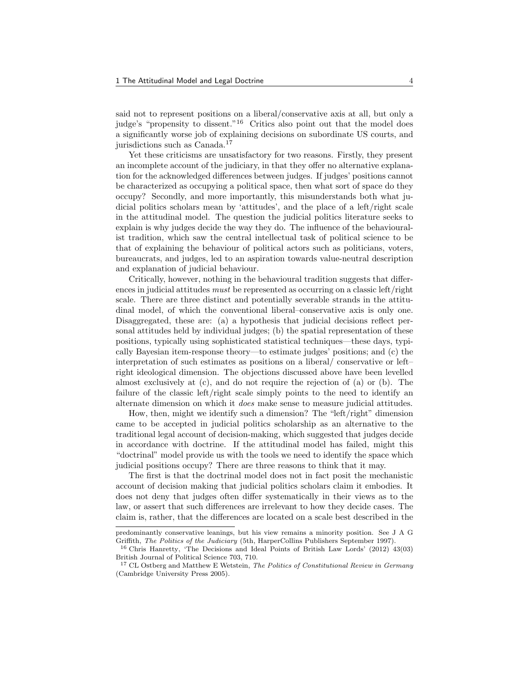said not to represent positions on a liberal/conservative axis at all, but only a judge's "propensity to dissent."<sup>16</sup> Critics also point out that the model does a significantly worse job of explaining decisions on subordinate US courts, and jurisdictions such as Canada.<sup>17</sup>

Yet these criticisms are unsatisfactory for two reasons. Firstly, they present an incomplete account of the judiciary, in that they offer no alternative explanation for the acknowledged differences between judges. If judges' positions cannot be characterized as occupying a political space, then what sort of space do they occupy? Secondly, and more importantly, this misunderstands both what judicial politics scholars mean by 'attitudes', and the place of a left/right scale in the attitudinal model. The question the judicial politics literature seeks to explain is why judges decide the way they do. The influence of the behaviouralist tradition, which saw the central intellectual task of political science to be that of explaining the behaviour of political actors such as politicians, voters, bureaucrats, and judges, led to an aspiration towards value-neutral description and explanation of judicial behaviour.

Critically, however, nothing in the behavioural tradition suggests that differences in judicial attitudes must be represented as occurring on a classic left/right scale. There are three distinct and potentially severable strands in the attitudinal model, of which the conventional liberal–conservative axis is only one. Disaggregated, these are: (a) a hypothesis that judicial decisions reflect personal attitudes held by individual judges; (b) the spatial representation of these positions, typically using sophisticated statistical techniques—these days, typically Bayesian item-response theory—to estimate judges' positions; and (c) the interpretation of such estimates as positions on a liberal/ conservative or left– right ideological dimension. The objections discussed above have been levelled almost exclusively at (c), and do not require the rejection of (a) or (b). The failure of the classic left/right scale simply points to the need to identify an alternate dimension on which it does make sense to measure judicial attitudes.

How, then, might we identify such a dimension? The "left/right" dimension came to be accepted in judicial politics scholarship as an alternative to the traditional legal account of decision-making, which suggested that judges decide in accordance with doctrine. If the attitudinal model has failed, might this "doctrinal" model provide us with the tools we need to identify the space which judicial positions occupy? There are three reasons to think that it may.

The first is that the doctrinal model does not in fact posit the mechanistic account of decision making that judicial politics scholars claim it embodies. It does not deny that judges often differ systematically in their views as to the law, or assert that such differences are irrelevant to how they decide cases. The claim is, rather, that the differences are located on a scale best described in the

predominantly conservative leanings, but his view remains a minority position. See J A G Griffith, The Politics of the Judiciary (5th, HarperCollins Publishers September 1997).

<sup>16</sup> Chris Hanretty, 'The Decisions and Ideal Points of British Law Lords' (2012) 43(03) British Journal of Political Science 703, 710.

 $17$  CL Ostberg and Matthew E Wetstein, The Politics of Constitutional Review in Germany (Cambridge University Press 2005).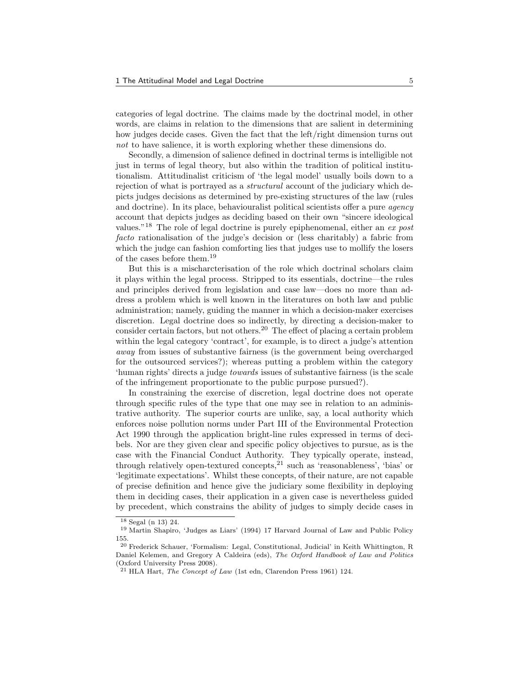categories of legal doctrine. The claims made by the doctrinal model, in other words, are claims in relation to the dimensions that are salient in determining how judges decide cases. Given the fact that the left/right dimension turns out not to have salience, it is worth exploring whether these dimensions do.

Secondly, a dimension of salience defined in doctrinal terms is intelligible not just in terms of legal theory, but also within the tradition of political institutionalism. Attitudinalist criticism of 'the legal model' usually boils down to a rejection of what is portrayed as a structural account of the judiciary which depicts judges decisions as determined by pre-existing structures of the law (rules and doctrine). In its place, behaviouralist political scientists offer a pure *agency* account that depicts judges as deciding based on their own "sincere ideological values."<sup>18</sup> The role of legal doctrine is purely epiphenomenal, either an ex post facto rationalisation of the judge's decision or (less charitably) a fabric from which the judge can fashion comforting lies that judges use to mollify the losers of the cases before them.<sup>19</sup>

But this is a mischarcterisation of the role which doctrinal scholars claim it plays within the legal process. Stripped to its essentials, doctrine—the rules and principles derived from legislation and case law—does no more than address a problem which is well known in the literatures on both law and public administration; namely, guiding the manner in which a decision-maker exercises discretion. Legal doctrine does so indirectly, by directing a decision-maker to consider certain factors, but not others.<sup>20</sup> The effect of placing a certain problem within the legal category 'contract', for example, is to direct a judge's attention away from issues of substantive fairness (is the government being overcharged for the outsourced services?); whereas putting a problem within the category 'human rights' directs a judge towards issues of substantive fairness (is the scale of the infringement proportionate to the public purpose pursued?).

In constraining the exercise of discretion, legal doctrine does not operate through specific rules of the type that one may see in relation to an administrative authority. The superior courts are unlike, say, a local authority which enforces noise pollution norms under Part III of the Environmental Protection Act 1990 through the application bright-line rules expressed in terms of decibels. Nor are they given clear and specific policy objectives to pursue, as is the case with the Financial Conduct Authority. They typically operate, instead, through relatively open-textured concepts, $21$  such as 'reasonableness', 'bias' or 'legitimate expectations'. Whilst these concepts, of their nature, are not capable of precise definition and hence give the judiciary some flexibility in deploying them in deciding cases, their application in a given case is nevertheless guided by precedent, which constrains the ability of judges to simply decide cases in

 $18$  Segal (n 13) 24.

<sup>19</sup> Martin Shapiro, 'Judges as Liars' (1994) 17 Harvard Journal of Law and Public Policy 155.

<sup>20</sup> Frederick Schauer, 'Formalism: Legal, Constitutional, Judicial' in Keith Whittington, R Daniel Kelemen, and Gregory A Caldeira (eds), The Oxford Handbook of Law and Politics (Oxford University Press 2008).

 $21$  HLA Hart, The Concept of Law (1st edn, Clarendon Press 1961) 124.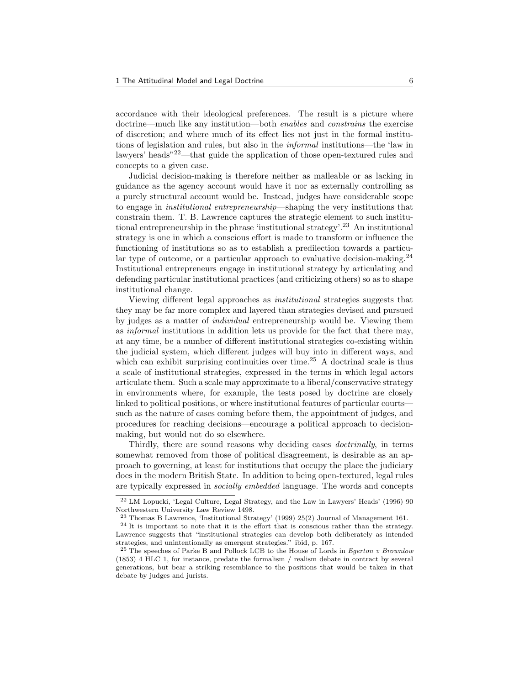accordance with their ideological preferences. The result is a picture where doctrine—much like any institution—both enables and constrains the exercise of discretion; and where much of its effect lies not just in the formal institutions of legislation and rules, but also in the informal institutions—the 'law in lawyers' heads"22—that guide the application of those open-textured rules and concepts to a given case.

Judicial decision-making is therefore neither as malleable or as lacking in guidance as the agency account would have it nor as externally controlling as a purely structural account would be. Instead, judges have considerable scope to engage in institutional entrepreneurship—shaping the very institutions that constrain them. T. B. Lawrence captures the strategic element to such institutional entrepreneurship in the phrase 'institutional strategy'.<sup>23</sup> An institutional strategy is one in which a conscious effort is made to transform or influence the functioning of institutions so as to establish a predilection towards a particular type of outcome, or a particular approach to evaluative decision-making.<sup>24</sup> Institutional entrepreneurs engage in institutional strategy by articulating and defending particular institutional practices (and criticizing others) so as to shape institutional change.

Viewing different legal approaches as institutional strategies suggests that they may be far more complex and layered than strategies devised and pursued by judges as a matter of individual entrepreneurship would be. Viewing them as informal institutions in addition lets us provide for the fact that there may, at any time, be a number of different institutional strategies co-existing within the judicial system, which different judges will buy into in different ways, and which can exhibit surprising continuities over time.<sup>25</sup> A doctrinal scale is thus a scale of institutional strategies, expressed in the terms in which legal actors articulate them. Such a scale may approximate to a liberal/conservative strategy in environments where, for example, the tests posed by doctrine are closely linked to political positions, or where institutional features of particular courts such as the nature of cases coming before them, the appointment of judges, and procedures for reaching decisions—encourage a political approach to decisionmaking, but would not do so elsewhere.

Thirdly, there are sound reasons why deciding cases doctrinally, in terms somewhat removed from those of political disagreement, is desirable as an approach to governing, at least for institutions that occupy the place the judiciary does in the modern British State. In addition to being open-textured, legal rules are typically expressed in socially embedded language. The words and concepts

<sup>22</sup> LM Lopucki, 'Legal Culture, Legal Strategy, and the Law in Lawyers' Heads' (1996) 90 Northwestern University Law Review 1498.

<sup>23</sup> Thomas B Lawrence, 'Institutional Strategy' (1999) 25(2) Journal of Management 161.

 $24$  It is important to note that it is the effort that is conscious rather than the strategy. Lawrence suggests that "institutional strategies can develop both deliberately as intended strategies, and unintentionally as emergent strategies." ibid, p. 167.

<sup>&</sup>lt;sup>25</sup> The speeches of Parke B and Pollock LCB to the House of Lords in *Egerton v Brownlow* (1853) 4 HLC 1, for instance, predate the formalism / realism debate in contract by several generations, but bear a striking resemblance to the positions that would be taken in that debate by judges and jurists.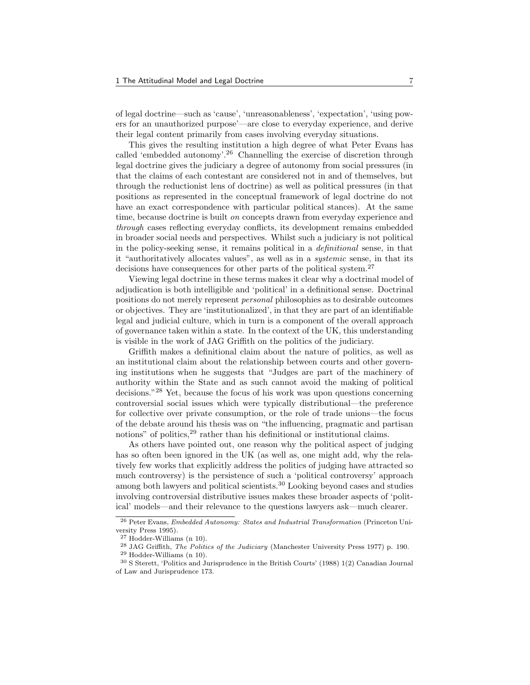of legal doctrine—such as 'cause', 'unreasonableness', 'expectation', 'using powers for an unauthorized purpose'—are close to everyday experience, and derive their legal content primarily from cases involving everyday situations.

This gives the resulting institution a high degree of what Peter Evans has called 'embedded autonomy'.<sup>26</sup> Channelling the exercise of discretion through legal doctrine gives the judiciary a degree of autonomy from social pressures (in that the claims of each contestant are considered not in and of themselves, but through the reductionist lens of doctrine) as well as political pressures (in that positions as represented in the conceptual framework of legal doctrine do not have an exact correspondence with particular political stances). At the same time, because doctrine is built on concepts drawn from everyday experience and through cases reflecting everyday conflicts, its development remains embedded in broader social needs and perspectives. Whilst such a judiciary is not political in the policy-seeking sense, it remains political in a definitional sense, in that it "authoritatively allocates values", as well as in a systemic sense, in that its decisions have consequences for other parts of the political system.<sup>27</sup>

Viewing legal doctrine in these terms makes it clear why a doctrinal model of adjudication is both intelligible and 'political' in a definitional sense. Doctrinal positions do not merely represent personal philosophies as to desirable outcomes or objectives. They are 'institutionalized', in that they are part of an identifiable legal and judicial culture, which in turn is a component of the overall approach of governance taken within a state. In the context of the UK, this understanding is visible in the work of JAG Griffith on the politics of the judiciary.

Griffith makes a definitional claim about the nature of politics, as well as an institutional claim about the relationship between courts and other governing institutions when he suggests that "Judges are part of the machinery of authority within the State and as such cannot avoid the making of political decisions."<sup>28</sup> Yet, because the focus of his work was upon questions concerning controversial social issues which were typically distributional—the preference for collective over private consumption, or the role of trade unions—the focus of the debate around his thesis was on "the influencing, pragmatic and partisan notions" of politics,<sup>29</sup> rather than his definitional or institutional claims.

As others have pointed out, one reason why the political aspect of judging has so often been ignored in the UK (as well as, one might add, why the relatively few works that explicitly address the politics of judging have attracted so much controversy) is the persistence of such a 'political controversy' approach among both lawyers and political scientists.<sup>30</sup> Looking beyond cases and studies involving controversial distributive issues makes these broader aspects of 'political' models—and their relevance to the questions lawyers ask—much clearer.

<sup>26</sup> Peter Evans, Embedded Autonomy: States and Industrial Transformation (Princeton University Press 1995).

<sup>27</sup> Hodder-Williams (n 10).

<sup>&</sup>lt;sup>28</sup> JAG Griffith, *The Politics of the Judiciary* (Manchester University Press 1977) p. 190.

<sup>29</sup> Hodder-Williams (n 10).

<sup>30</sup> S Sterett, 'Politics and Jurisprudence in the British Courts' (1988) 1(2) Canadian Journal of Law and Jurisprudence 173.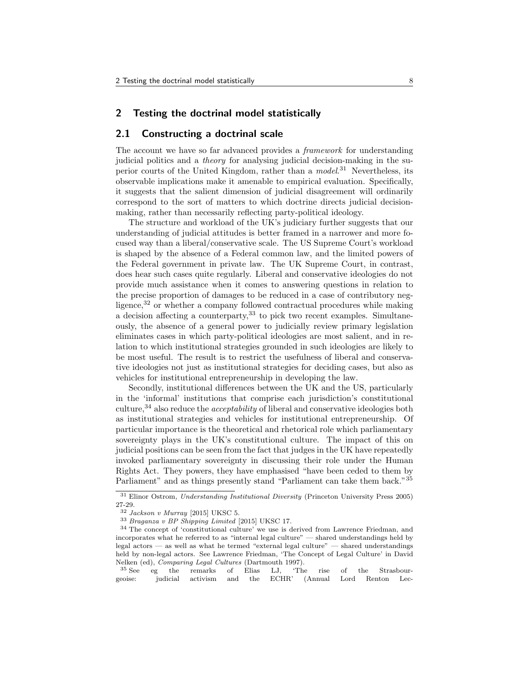#### 2 Testing the doctrinal model statistically

#### 2.1 Constructing a doctrinal scale

The account we have so far advanced provides a framework for understanding judicial politics and a theory for analysing judicial decision-making in the superior courts of the United Kingdom, rather than a *model*.<sup>31</sup> Nevertheless, its observable implications make it amenable to empirical evaluation. Specifically, it suggests that the salient dimension of judicial disagreement will ordinarily correspond to the sort of matters to which doctrine directs judicial decisionmaking, rather than necessarily reflecting party-political ideology.

The structure and workload of the UK's judiciary further suggests that our understanding of judicial attitudes is better framed in a narrower and more focused way than a liberal/conservative scale. The US Supreme Court's workload is shaped by the absence of a Federal common law, and the limited powers of the Federal government in private law. The UK Supreme Court, in contrast, does hear such cases quite regularly. Liberal and conservative ideologies do not provide much assistance when it comes to answering questions in relation to the precise proportion of damages to be reduced in a case of contributory negligence,<sup>32</sup> or whether a company followed contractual procedures while making a decision affecting a counterparty,  $33$  to pick two recent examples. Simultaneously, the absence of a general power to judicially review primary legislation eliminates cases in which party-political ideologies are most salient, and in relation to which institutional strategies grounded in such ideologies are likely to be most useful. The result is to restrict the usefulness of liberal and conservative ideologies not just as institutional strategies for deciding cases, but also as vehicles for institutional entrepreneurship in developing the law.

Secondly, institutional differences between the UK and the US, particularly in the 'informal' institutions that comprise each jurisdiction's constitutional culture,<sup>34</sup> also reduce the *acceptability* of liberal and conservative ideologies both as institutional strategies and vehicles for institutional entrepreneurship. Of particular importance is the theoretical and rhetorical role which parliamentary sovereignty plays in the UK's constitutional culture. The impact of this on judicial positions can be seen from the fact that judges in the UK have repeatedly invoked parliamentary sovereignty in discussing their role under the Human Rights Act. They powers, they have emphasised "have been ceded to them by Parliament" and as things presently stand "Parliament can take them back."<sup>35</sup>

<sup>31</sup> Elinor Ostrom, Understanding Institutional Diversity (Princeton University Press 2005) 27-29.

 $32$  Jackson v Murray [2015] UKSC 5.

<sup>33</sup> Braganza v BP Shipping Limited [2015] UKSC 17.

<sup>34</sup> The concept of 'constitutional culture' we use is derived from Lawrence Friedman, and incorporates what he referred to as "internal legal culture" — shared understandings held by legal actors — as well as what he termed "external legal culture" — shared understandings held by non-legal actors. See Lawrence Friedman, 'The Concept of Legal Culture' in David Nelken (ed), Comparing Legal Cultures (Dartmouth 1997).

<sup>35</sup> See eg the remarks of Elias LJ, 'The rise of the Strasbourgeoise: judicial activism and the ECHR' (Annual Lord Renton Lec-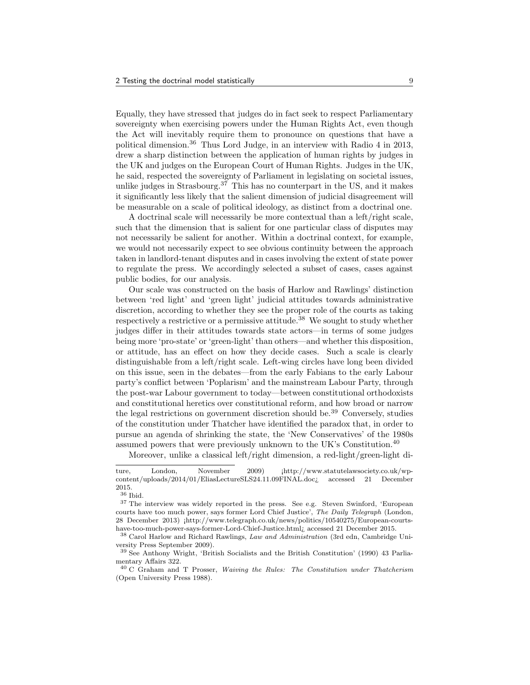Equally, they have stressed that judges do in fact seek to respect Parliamentary sovereignty when exercising powers under the Human Rights Act, even though the Act will inevitably require them to pronounce on questions that have a political dimension.<sup>36</sup> Thus Lord Judge, in an interview with Radio 4 in 2013, drew a sharp distinction between the application of human rights by judges in the UK and judges on the European Court of Human Rights. Judges in the UK, he said, respected the sovereignty of Parliament in legislating on societal issues, unlike judges in Strasbourg.<sup>37</sup> This has no counterpart in the US, and it makes it significantly less likely that the salient dimension of judicial disagreement will be measurable on a scale of political ideology, as distinct from a doctrinal one.

A doctrinal scale will necessarily be more contextual than a left/right scale, such that the dimension that is salient for one particular class of disputes may not necessarily be salient for another. Within a doctrinal context, for example, we would not necessarily expect to see obvious continuity between the approach taken in landlord-tenant disputes and in cases involving the extent of state power to regulate the press. We accordingly selected a subset of cases, cases against public bodies, for our analysis.

Our scale was constructed on the basis of Harlow and Rawlings' distinction between 'red light' and 'green light' judicial attitudes towards administrative discretion, according to whether they see the proper role of the courts as taking respectively a restrictive or a permissive attitude.<sup>38</sup> We sought to study whether judges differ in their attitudes towards state actors—in terms of some judges being more 'pro-state' or 'green-light' than others—and whether this disposition, or attitude, has an effect on how they decide cases. Such a scale is clearly distinguishable from a left/right scale. Left-wing circles have long been divided on this issue, seen in the debates—from the early Fabians to the early Labour party's conflict between 'Poplarism' and the mainstream Labour Party, through the post-war Labour government to today—between constitutional orthodoxists and constitutional heretics over constitutional reform, and how broad or narrow the legal restrictions on government discretion should be.<sup>39</sup> Conversely, studies of the constitution under Thatcher have identified the paradox that, in order to pursue an agenda of shrinking the state, the 'New Conservatives' of the 1980s assumed powers that were previously unknown to the UK's Constitution.<sup>40</sup>

Moreover, unlike a classical left/right dimension, a red-light/green-light di-

ture, London, November 2009)  $[http://www.statutelawsociety.co.uk/wp$ content/uploads/2014/01/EliasLectureSLS24.11.09FINAL.doc¿ accessed 21 December 2015.

<sup>36</sup> Ibid.

<sup>37</sup> The interview was widely reported in the press. See e.g. Steven Swinford, 'European courts have too much power, says former Lord Chief Justice', The Daily Telegraph (London, 28 December 2013) ¡http://www.telegraph.co.uk/news/politics/10540275/European-courtshave-too-much-power-says-former-Lord-Chief-Justice.html¿ accessed 21 December 2015.

<sup>38</sup> Carol Harlow and Richard Rawlings, Law and Administration (3rd edn, Cambridge University Press September 2009).

<sup>39</sup> See Anthony Wright, 'British Socialists and the British Constitution' (1990) 43 Parliamentary Affairs 322.

<sup>40</sup> C Graham and T Prosser, Waiving the Rules: The Constitution under Thatcherism (Open University Press 1988).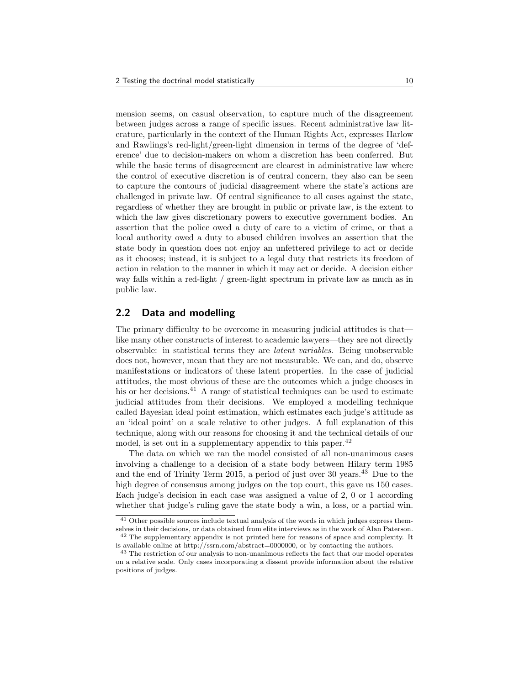mension seems, on casual observation, to capture much of the disagreement between judges across a range of specific issues. Recent administrative law literature, particularly in the context of the Human Rights Act, expresses Harlow and Rawlings's red-light/green-light dimension in terms of the degree of 'deference' due to decision-makers on whom a discretion has been conferred. But while the basic terms of disagreement are clearest in administrative law where the control of executive discretion is of central concern, they also can be seen to capture the contours of judicial disagreement where the state's actions are challenged in private law. Of central significance to all cases against the state, regardless of whether they are brought in public or private law, is the extent to which the law gives discretionary powers to executive government bodies. An assertion that the police owed a duty of care to a victim of crime, or that a local authority owed a duty to abused children involves an assertion that the state body in question does not enjoy an unfettered privilege to act or decide as it chooses; instead, it is subject to a legal duty that restricts its freedom of action in relation to the manner in which it may act or decide. A decision either way falls within a red-light / green-light spectrum in private law as much as in public law.

#### 2.2 Data and modelling

The primary difficulty to be overcome in measuring judicial attitudes is that like many other constructs of interest to academic lawyers—they are not directly observable: in statistical terms they are latent variables. Being unobservable does not, however, mean that they are not measurable. We can, and do, observe manifestations or indicators of these latent properties. In the case of judicial attitudes, the most obvious of these are the outcomes which a judge chooses in his or her decisions.<sup>41</sup> A range of statistical techniques can be used to estimate judicial attitudes from their decisions. We employed a modelling technique called Bayesian ideal point estimation, which estimates each judge's attitude as an 'ideal point' on a scale relative to other judges. A full explanation of this technique, along with our reasons for choosing it and the technical details of our model, is set out in a supplementary appendix to this paper.<sup>42</sup>

The data on which we ran the model consisted of all non-unanimous cases involving a challenge to a decision of a state body between Hilary term 1985 and the end of Trinity Term 2015, a period of just over 30 years.<sup>43</sup> Due to the high degree of consensus among judges on the top court, this gave us 150 cases. Each judge's decision in each case was assigned a value of 2, 0 or 1 according whether that judge's ruling gave the state body a win, a loss, or a partial win.

<sup>&</sup>lt;sup>41</sup> Other possible sources include textual analysis of the words in which judges express themselves in their decisions, or data obtained from elite interviews as in the work of Alan Paterson. <sup>42</sup> The supplementary appendix is not printed here for reasons of space and complexity. It

is available online at http://ssrn.com/abstract=0000000, or by contacting the authors.

<sup>&</sup>lt;sup>43</sup> The restriction of our analysis to non-unanimous reflects the fact that our model operates on a relative scale. Only cases incorporating a dissent provide information about the relative positions of judges.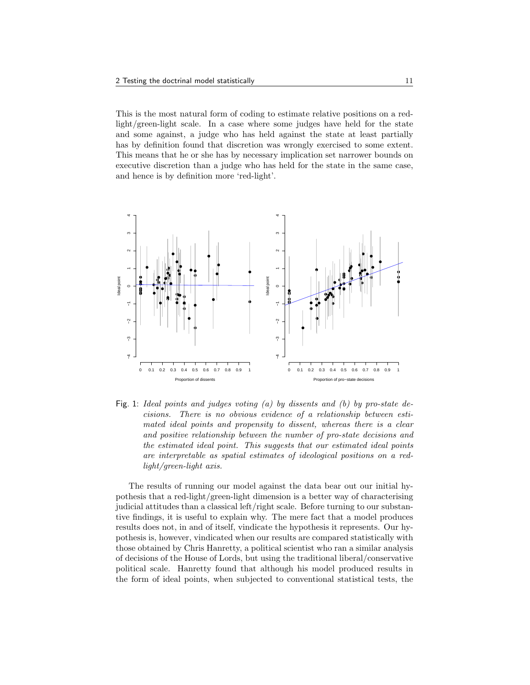This is the most natural form of coding to estimate relative positions on a redlight/green-light scale. In a case where some judges have held for the state and some against, a judge who has held against the state at least partially has by definition found that discretion was wrongly exercised to some extent. This means that he or she has by necessary implication set narrower bounds on executive discretion than a judge who has held for the state in the same case, and hence is by definition more 'red-light'.



Fig. 1: Ideal points and judges voting (a) by dissents and (b) by pro-state decisions. There is no obvious evidence of a relationship between estimated ideal points and propensity to dissent, whereas there is a clear and positive relationship between the number of pro-state decisions and the estimated ideal point. This suggests that our estimated ideal points are interpretable as spatial estimates of ideological positions on a redlight/green-light axis.

The results of running our model against the data bear out our initial hypothesis that a red-light/green-light dimension is a better way of characterising judicial attitudes than a classical left/right scale. Before turning to our substantive findings, it is useful to explain why. The mere fact that a model produces results does not, in and of itself, vindicate the hypothesis it represents. Our hypothesis is, however, vindicated when our results are compared statistically with those obtained by Chris Hanretty, a political scientist who ran a similar analysis of decisions of the House of Lords, but using the traditional liberal/conservative political scale. Hanretty found that although his model produced results in the form of ideal points, when subjected to conventional statistical tests, the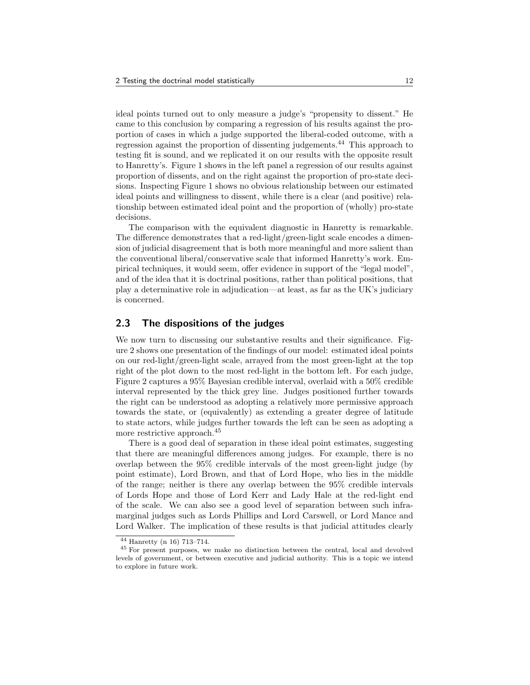ideal points turned out to only measure a judge's "propensity to dissent." He came to this conclusion by comparing a regression of his results against the proportion of cases in which a judge supported the liberal-coded outcome, with a regression against the proportion of dissenting judgements.<sup>44</sup> This approach to testing fit is sound, and we replicated it on our results with the opposite result to Hanretty's. Figure 1 shows in the left panel a regression of our results against proportion of dissents, and on the right against the proportion of pro-state decisions. Inspecting Figure 1 shows no obvious relationship between our estimated ideal points and willingness to dissent, while there is a clear (and positive) relationship between estimated ideal point and the proportion of (wholly) pro-state decisions.

The comparison with the equivalent diagnostic in Hanretty is remarkable. The difference demonstrates that a red-light/green-light scale encodes a dimension of judicial disagreement that is both more meaningful and more salient than the conventional liberal/conservative scale that informed Hanretty's work. Empirical techniques, it would seem, offer evidence in support of the "legal model", and of the idea that it is doctrinal positions, rather than political positions, that play a determinative role in adjudication—at least, as far as the UK's judiciary is concerned.

#### 2.3 The dispositions of the judges

We now turn to discussing our substantive results and their significance. Figure 2 shows one presentation of the findings of our model: estimated ideal points on our red-light/green-light scale, arrayed from the most green-light at the top right of the plot down to the most red-light in the bottom left. For each judge, Figure 2 captures a 95% Bayesian credible interval, overlaid with a 50% credible interval represented by the thick grey line. Judges positioned further towards the right can be understood as adopting a relatively more permissive approach towards the state, or (equivalently) as extending a greater degree of latitude to state actors, while judges further towards the left can be seen as adopting a more restrictive approach.<sup>45</sup>

There is a good deal of separation in these ideal point estimates, suggesting that there are meaningful differences among judges. For example, there is no overlap between the 95% credible intervals of the most green-light judge (by point estimate), Lord Brown, and that of Lord Hope, who lies in the middle of the range; neither is there any overlap between the 95% credible intervals of Lords Hope and those of Lord Kerr and Lady Hale at the red-light end of the scale. We can also see a good level of separation between such inframarginal judges such as Lords Phillips and Lord Carswell, or Lord Mance and Lord Walker. The implication of these results is that judicial attitudes clearly

<sup>44</sup> Hanretty (n 16) 713–714.

<sup>45</sup> For present purposes, we make no distinction between the central, local and devolved levels of government, or between executive and judicial authority. This is a topic we intend to explore in future work.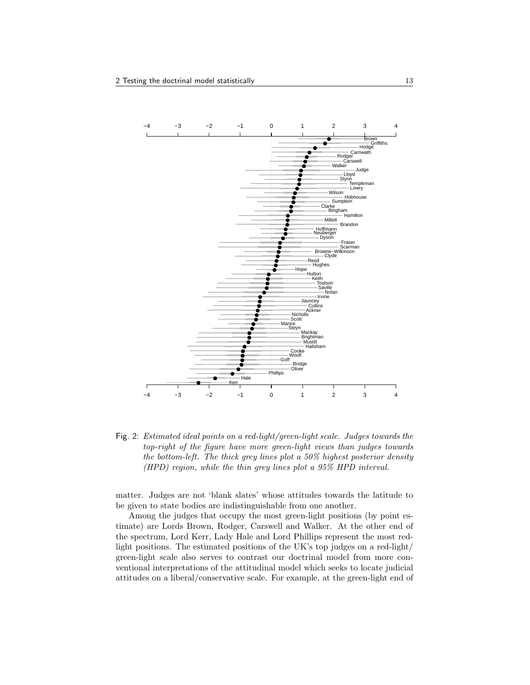

Fig. 2: Estimated ideal points on a red-light/green-light scale. Judges towards the top-right of the figure have more green-light views than judges towards the bottom-left. The thick grey lines plot a 50% highest posterior density (HPD) region, while the thin grey lines plot a 95% HPD interval.

matter. Judges are not 'blank slates' whose attitudes towards the latitude to be given to state bodies are indistinguishable from one another.

Among the judges that occupy the most green-light positions (by point estimate) are Lords Brown, Rodger, Carswell and Walker. At the other end of the spectrum, Lord Kerr, Lady Hale and Lord Phillips represent the most redlight positions. The estimated positions of the UK's top judges on a red-light/ green-light scale also serves to contrast our doctrinal model from more conventional interpretations of the attitudinal model which seeks to locate judicial attitudes on a liberal/conservative scale. For example, at the green-light end of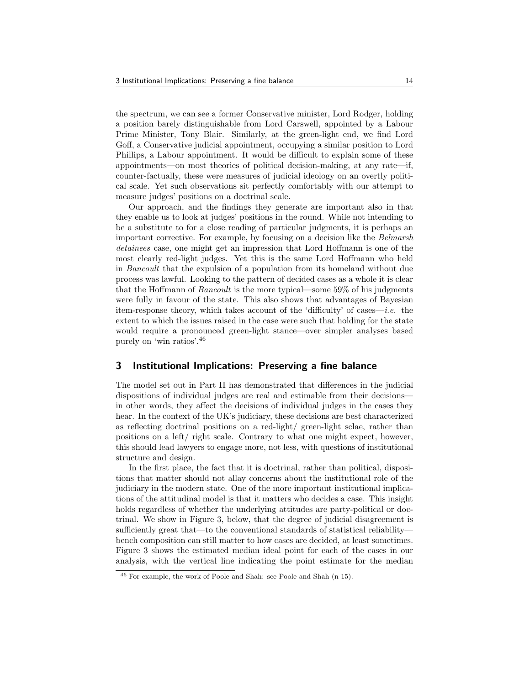the spectrum, we can see a former Conservative minister, Lord Rodger, holding a position barely distinguishable from Lord Carswell, appointed by a Labour Prime Minister, Tony Blair. Similarly, at the green-light end, we find Lord Goff, a Conservative judicial appointment, occupying a similar position to Lord Phillips, a Labour appointment. It would be difficult to explain some of these appointments—on most theories of political decision-making, at any rate—if, counter-factually, these were measures of judicial ideology on an overtly political scale. Yet such observations sit perfectly comfortably with our attempt to measure judges' positions on a doctrinal scale.

Our approach, and the findings they generate are important also in that they enable us to look at judges' positions in the round. While not intending to be a substitute to for a close reading of particular judgments, it is perhaps an important corrective. For example, by focusing on a decision like the Belmarsh detainees case, one might get an impression that Lord Hoffmann is one of the most clearly red-light judges. Yet this is the same Lord Hoffmann who held in Bancoult that the expulsion of a population from its homeland without due process was lawful. Looking to the pattern of decided cases as a whole it is clear that the Hoffmann of Bancoult is the more typical—some 59% of his judgments were fully in favour of the state. This also shows that advantages of Bayesian item-response theory, which takes account of the 'difficulty' of cases—i.e. the extent to which the issues raised in the case were such that holding for the state would require a pronounced green-light stance—over simpler analyses based purely on 'win ratios'.<sup>46</sup>

#### 3 Institutional Implications: Preserving a fine balance

The model set out in Part II has demonstrated that differences in the judicial dispositions of individual judges are real and estimable from their decisions in other words, they affect the decisions of individual judges in the cases they hear. In the context of the UK's judiciary, these decisions are best characterized as reflecting doctrinal positions on a red-light/ green-light sclae, rather than positions on a left/ right scale. Contrary to what one might expect, however, this should lead lawyers to engage more, not less, with questions of institutional structure and design.

In the first place, the fact that it is doctrinal, rather than political, dispositions that matter should not allay concerns about the institutional role of the judiciary in the modern state. One of the more important institutional implications of the attitudinal model is that it matters who decides a case. This insight holds regardless of whether the underlying attitudes are party-political or doctrinal. We show in Figure 3, below, that the degree of judicial disagreement is sufficiently great that—to the conventional standards of statistical reliability bench composition can still matter to how cases are decided, at least sometimes. Figure 3 shows the estimated median ideal point for each of the cases in our analysis, with the vertical line indicating the point estimate for the median

<sup>46</sup> For example, the work of Poole and Shah: see Poole and Shah (n 15).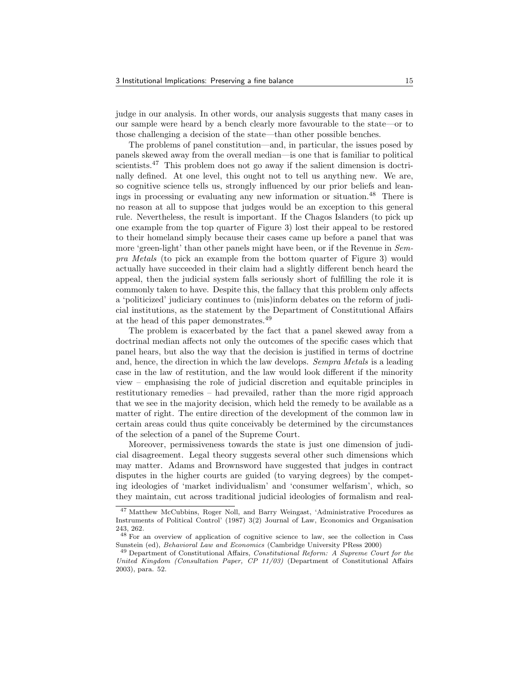judge in our analysis. In other words, our analysis suggests that many cases in our sample were heard by a bench clearly more favourable to the state—or to those challenging a decision of the state—than other possible benches.

The problems of panel constitution—and, in particular, the issues posed by panels skewed away from the overall median—is one that is familiar to political scientists.<sup>47</sup> This problem does not go away if the salient dimension is doctrinally defined. At one level, this ought not to tell us anything new. We are, so cognitive science tells us, strongly influenced by our prior beliefs and leanings in processing or evaluating any new information or situation.<sup>48</sup> There is no reason at all to suppose that judges would be an exception to this general rule. Nevertheless, the result is important. If the Chagos Islanders (to pick up one example from the top quarter of Figure 3) lost their appeal to be restored to their homeland simply because their cases came up before a panel that was more 'green-light' than other panels might have been, or if the Revenue in Sempra Metals (to pick an example from the bottom quarter of Figure 3) would actually have succeeded in their claim had a slightly different bench heard the appeal, then the judicial system falls seriously short of fulfilling the role it is commonly taken to have. Despite this, the fallacy that this problem only affects a 'politicized' judiciary continues to (mis)inform debates on the reform of judicial institutions, as the statement by the Department of Constitutional Affairs at the head of this paper demonstrates.<sup>49</sup>

The problem is exacerbated by the fact that a panel skewed away from a doctrinal median affects not only the outcomes of the specific cases which that panel hears, but also the way that the decision is justified in terms of doctrine and, hence, the direction in which the law develops. Sempra Metals is a leading case in the law of restitution, and the law would look different if the minority view – emphasising the role of judicial discretion and equitable principles in restitutionary remedies – had prevailed, rather than the more rigid approach that we see in the majority decision, which held the remedy to be available as a matter of right. The entire direction of the development of the common law in certain areas could thus quite conceivably be determined by the circumstances of the selection of a panel of the Supreme Court.

Moreover, permissiveness towards the state is just one dimension of judicial disagreement. Legal theory suggests several other such dimensions which may matter. Adams and Brownsword have suggested that judges in contract disputes in the higher courts are guided (to varying degrees) by the competing ideologies of 'market individualism' and 'consumer welfarism', which, so they maintain, cut across traditional judicial ideologies of formalism and real-

<sup>47</sup> Matthew McCubbins, Roger Noll, and Barry Weingast, 'Administrative Procedures as Instruments of Political Control' (1987) 3(2) Journal of Law, Economics and Organisation 243, 262.

<sup>48</sup> For an overview of application of cognitive science to law, see the collection in Cass Sunstein (ed), Behavioral Law and Economics (Cambridge University PRess 2000)

<sup>49</sup> Department of Constitutional Affairs, Constitutional Reform: A Supreme Court for the United Kingdom (Consultation Paper, CP 11/03) (Department of Constitutional Affairs 2003), para. 52.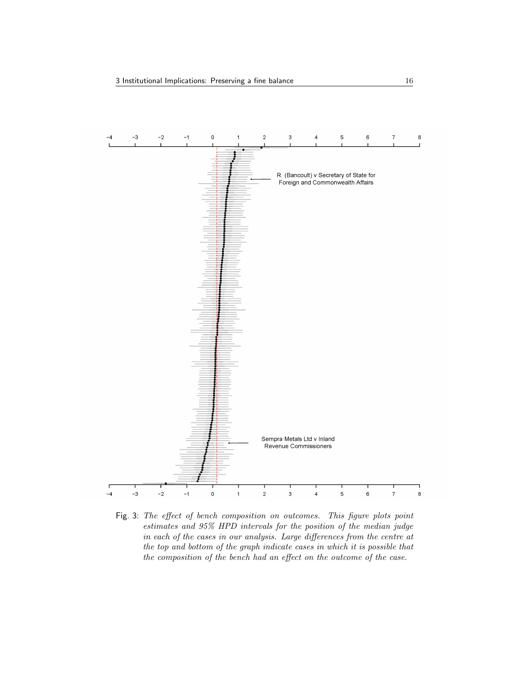

Fig. 3: The effect of bench composition on outcomes. This figure plots point estimates and 95% HPD intervals for the position of the median judge in each of the cases in our analysis. Large differences from the centre at the top and bottom of the graph indicate cases in which it is possible that the composition of the bench had an effect on the outcome of the case.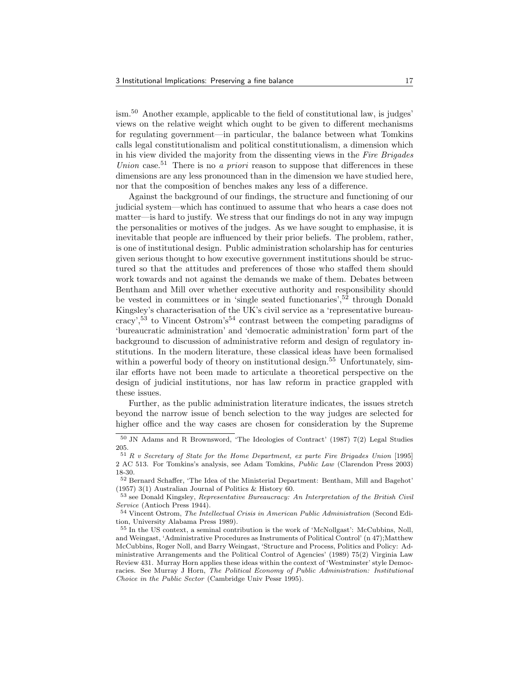ism.<sup>50</sup> Another example, applicable to the field of constitutional law, is judges' views on the relative weight which ought to be given to different mechanisms for regulating government—in particular, the balance between what Tomkins calls legal constitutionalism and political constitutionalism, a dimension which in his view divided the majority from the dissenting views in the Fire Brigades Union case.<sup>51</sup> There is no *a priori* reason to suppose that differences in these dimensions are any less pronounced than in the dimension we have studied here, nor that the composition of benches makes any less of a difference.

Against the background of our findings, the structure and functioning of our judicial system—which has continued to assume that who hears a case does not matter—is hard to justify. We stress that our findings do not in any way impugn the personalities or motives of the judges. As we have sought to emphasise, it is inevitable that people are influenced by their prior beliefs. The problem, rather, is one of institutional design. Public administration scholarship has for centuries given serious thought to how executive government institutions should be structured so that the attitudes and preferences of those who staffed them should work towards and not against the demands we make of them. Debates between Bentham and Mill over whether executive authority and responsibility should be vested in committees or in 'single seated functionaries',<sup>52</sup> through Donald Kingsley's characterisation of the UK's civil service as a 'representative bureaucracy',<sup>53</sup> to Vincent Ostrom's<sup>54</sup> contrast between the competing paradigms of 'bureaucratic administration' and 'democratic administration' form part of the background to discussion of administrative reform and design of regulatory institutions. In the modern literature, these classical ideas have been formalised within a powerful body of theory on institutional design.<sup>55</sup> Unfortunately, similar efforts have not been made to articulate a theoretical perspective on the design of judicial institutions, nor has law reform in practice grappled with these issues.

Further, as the public administration literature indicates, the issues stretch beyond the narrow issue of bench selection to the way judges are selected for higher office and the way cases are chosen for consideration by the Supreme

<sup>50</sup> JN Adams and R Brownsword, 'The Ideologies of Contract' (1987) 7(2) Legal Studies 205.

<sup>51</sup> R v Secretary of State for the Home Department, ex parte Fire Brigades Union [1995] 2 AC 513. For Tomkins's analysis, see Adam Tomkins, Public Law (Clarendon Press 2003) 18-30.

<sup>52</sup> Bernard Schaffer, 'The Idea of the Ministerial Department: Bentham, Mill and Bagehot' (1957) 3(1) Australian Journal of Politics & History 60.

<sup>&</sup>lt;sup>53</sup> see Donald Kingsley, Representative Bureaucracy: An Interpretation of the British Civil Service (Antioch Press 1944).

<sup>54</sup> Vincent Ostrom, The Intellectual Crisis in American Public Administration (Second Edition, University Alabama Press 1989).

<sup>55</sup> In the US context, a seminal contribution is the work of 'McNollgast': McCubbins, Noll, and Weingast, 'Administrative Procedures as Instruments of Political Control' (n 47);Matthew McCubbins, Roger Noll, and Barry Weingast, 'Structure and Process, Politics and Policy: Administrative Arrangements and the Political Control of Agencies' (1989) 75(2) Virginia Law Review 431. Murray Horn applies these ideas within the context of 'Westminster' style Democracies. See Murray J Horn, The Political Economy of Public Administration: Institutional Choice in the Public Sector (Cambridge Univ Pessr 1995).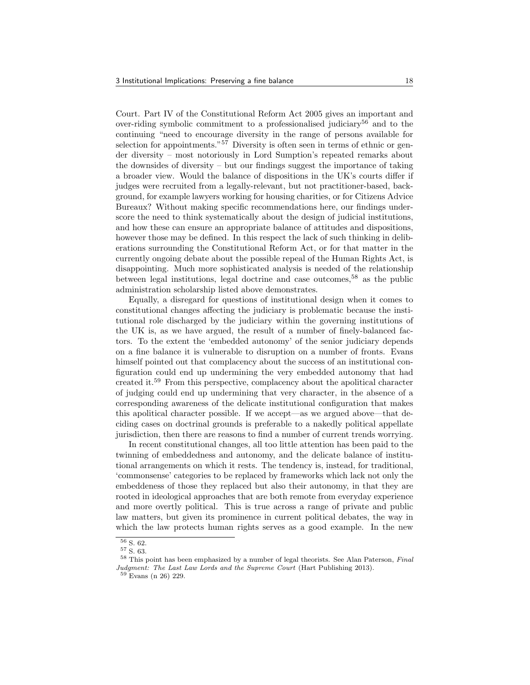Court. Part IV of the Constitutional Reform Act 2005 gives an important and over-riding symbolic commitment to a professionalised judiciary<sup>56</sup> and to the continuing "need to encourage diversity in the range of persons available for selection for appointments."<sup>57</sup> Diversity is often seen in terms of ethnic or gender diversity – most notoriously in Lord Sumption's repeated remarks about the downsides of diversity – but our findings suggest the importance of taking a broader view. Would the balance of dispositions in the UK's courts differ if judges were recruited from a legally-relevant, but not practitioner-based, background, for example lawyers working for housing charities, or for Citizens Advice Bureaux? Without making specific recommendations here, our findings underscore the need to think systematically about the design of judicial institutions, and how these can ensure an appropriate balance of attitudes and dispositions, however those may be defined. In this respect the lack of such thinking in deliberations surrounding the Constitutional Reform Act, or for that matter in the currently ongoing debate about the possible repeal of the Human Rights Act, is disappointing. Much more sophisticated analysis is needed of the relationship between legal institutions, legal doctrine and case outcomes,<sup>58</sup> as the public administration scholarship listed above demonstrates.

Equally, a disregard for questions of institutional design when it comes to constitutional changes affecting the judiciary is problematic because the institutional role discharged by the judiciary within the governing institutions of the UK is, as we have argued, the result of a number of finely-balanced factors. To the extent the 'embedded autonomy' of the senior judiciary depends on a fine balance it is vulnerable to disruption on a number of fronts. Evans himself pointed out that complacency about the success of an institutional configuration could end up undermining the very embedded autonomy that had created it.<sup>59</sup> From this perspective, complacency about the apolitical character of judging could end up undermining that very character, in the absence of a corresponding awareness of the delicate institutional configuration that makes this apolitical character possible. If we accept—as we argued above—that deciding cases on doctrinal grounds is preferable to a nakedly political appellate jurisdiction, then there are reasons to find a number of current trends worrying.

In recent constitutional changes, all too little attention has been paid to the twinning of embeddedness and autonomy, and the delicate balance of institutional arrangements on which it rests. The tendency is, instead, for traditional, 'commonsense' categories to be replaced by frameworks which lack not only the embeddeness of those they replaced but also their autonomy, in that they are rooted in ideological approaches that are both remote from everyday experience and more overtly political. This is true across a range of private and public law matters, but given its prominence in current political debates, the way in which the law protects human rights serves as a good example. In the new

 $\overline{56}$  S. 62.

<sup>57</sup> S. 63.

<sup>58</sup> This point has been emphasized by a number of legal theorists. See Alan Paterson, Final Judgment: The Last Law Lords and the Supreme Court (Hart Publishing 2013).

<sup>59</sup> Evans (n 26) 229.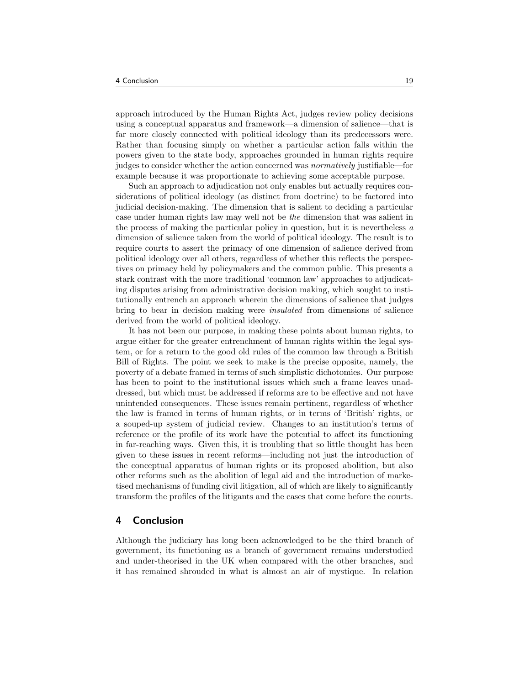approach introduced by the Human Rights Act, judges review policy decisions using a conceptual apparatus and framework—a dimension of salience—that is far more closely connected with political ideology than its predecessors were. Rather than focusing simply on whether a particular action falls within the powers given to the state body, approaches grounded in human rights require judges to consider whether the action concerned was normatively justifiable—for example because it was proportionate to achieving some acceptable purpose.

Such an approach to adjudication not only enables but actually requires considerations of political ideology (as distinct from doctrine) to be factored into judicial decision-making. The dimension that is salient to deciding a particular case under human rights law may well not be the dimension that was salient in the process of making the particular policy in question, but it is nevertheless a dimension of salience taken from the world of political ideology. The result is to require courts to assert the primacy of one dimension of salience derived from political ideology over all others, regardless of whether this reflects the perspectives on primacy held by policymakers and the common public. This presents a stark contrast with the more traditional 'common law' approaches to adjudicating disputes arising from administrative decision making, which sought to institutionally entrench an approach wherein the dimensions of salience that judges bring to bear in decision making were insulated from dimensions of salience derived from the world of political ideology.

It has not been our purpose, in making these points about human rights, to argue either for the greater entrenchment of human rights within the legal system, or for a return to the good old rules of the common law through a British Bill of Rights. The point we seek to make is the precise opposite, namely, the poverty of a debate framed in terms of such simplistic dichotomies. Our purpose has been to point to the institutional issues which such a frame leaves unaddressed, but which must be addressed if reforms are to be effective and not have unintended consequences. These issues remain pertinent, regardless of whether the law is framed in terms of human rights, or in terms of 'British' rights, or a souped-up system of judicial review. Changes to an institution's terms of reference or the profile of its work have the potential to affect its functioning in far-reaching ways. Given this, it is troubling that so little thought has been given to these issues in recent reforms—including not just the introduction of the conceptual apparatus of human rights or its proposed abolition, but also other reforms such as the abolition of legal aid and the introduction of marketised mechanisms of funding civil litigation, all of which are likely to significantly transform the profiles of the litigants and the cases that come before the courts.

#### 4 Conclusion

Although the judiciary has long been acknowledged to be the third branch of government, its functioning as a branch of government remains understudied and under-theorised in the UK when compared with the other branches, and it has remained shrouded in what is almost an air of mystique. In relation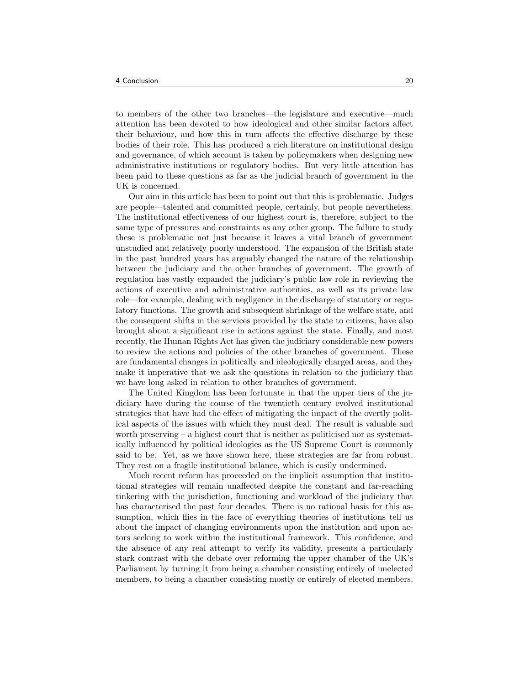to members of the other two branches—the legislature and executive—much attention has been devoted to how ideological and other similar factors affect their behaviour, and how this in turn affects the effective discharge by these bodies of their role. This has produced a rich literature on institutional design and governance, of which account is taken by policymakers when designing new administrative institutions or regulatory bodies. But very little attention has been paid to these questions as far as the judicial branch of government in the UK is concerned.

Our aim in this article has been to point out that this is problematic. Judges are people—talented and committed people, certainly, but people nevertheless. The institutional effectiveness of our highest court is, therefore, subject to the same type of pressures and constraints as any other group. The failure to study these is problematic not just because it leaves a vital branch of government unstudied and relatively poorly understood. The expansion of the British state in the past hundred years has arguably changed the nature of the relationship between the judiciary and the other branches of government. The growth of regulation has vastly expanded the judiciary's public law role in reviewing the actions of executive and administrative authorities, as well as its private law role—for example, dealing with negligence in the discharge of statutory or regulatory functions. The growth and subsequent shrinkage of the welfare state, and the consequent shifts in the services provided by the state to citizens, have also brought about a significant rise in actions against the state. Finally, and most recently, the Human Rights Act has given the judiciary considerable new powers to review the actions and policies of the other branches of government. These are fundamental changes in politically and ideologically charged areas, and they make it imperative that we ask the questions in relation to the judiciary that we have long asked in relation to other branches of government.

The United Kingdom has been fortunate in that the upper tiers of the judiciary have during the course of the twentieth century evolved institutional strategies that have had the effect of mitigating the impact of the overtly political aspects of the issues with which they must deal. The result is valuable and worth preserving  $-$  a highest court that is neither as politicised nor as systematically influenced by political ideologies as the US Supreme Court is commonly said to be. Yet, as we have shown here, these strategies are far from robust. They rest on a fragile institutional balance, which is easily undermined.

Much recent reform has proceeded on the implicit assumption that institutional strategies will remain unaffected despite the constant and far-reaching tinkering with the jurisdiction, functioning and workload of the judiciary that has characterised the past four decades. There is no rational basis for this assumption, which flies in the face of everything theories of institutions tell us about the impact of changing environments upon the institution and upon actors seeking to work within the institutional framework. This confidence, and the absence of any real attempt to verify its validity, presents a particularly stark contrast with the debate over reforming the upper chamber of the UK's Parliament by turning it from being a chamber consisting entirely of unelected members, to being a chamber consisting mostly or entirely of elected members.